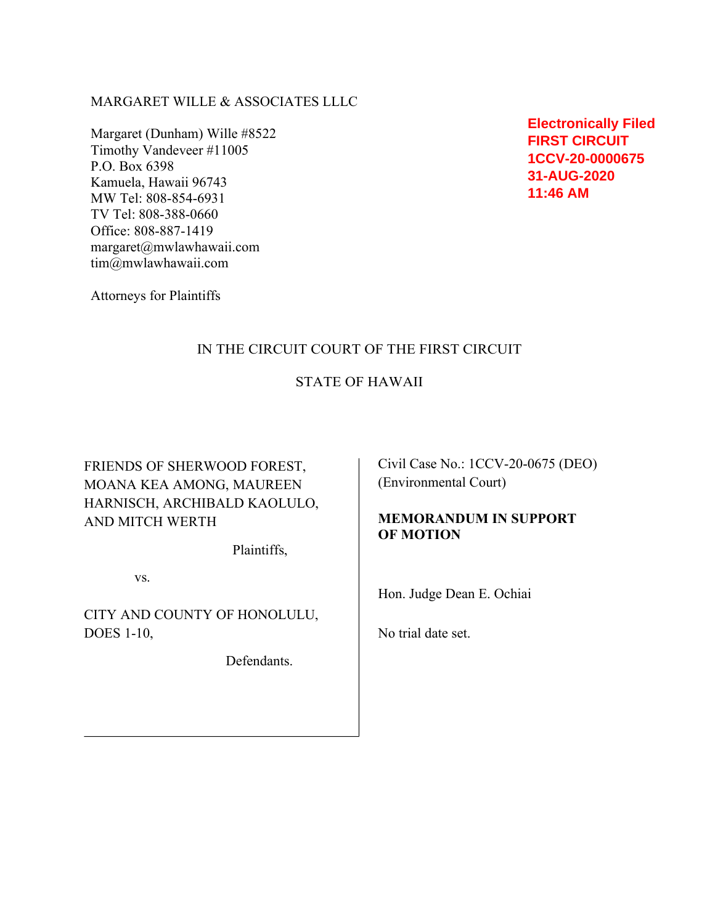## MARGARET WILLE & ASSOCIATES LLLC

Margaret (Dunham) Wille #8522 Timothy Vandeveer #11005 P.O. Box 6398 Kamuela, Hawaii 96743 MW Tel: 808-854-6931 TV Tel: 808-388-0660 Office: 808-887-1419 margaret@mwlawhawaii.com tim@mwlawhawaii.com

**Electronically Filed FIRST CIRCUIT 1CCV-20-0000675 31-AUG-2020 11:46 AM**

Attorneys for Plaintiffs

# IN THE CIRCUIT COURT OF THE FIRST CIRCUIT

# STATE OF HAWAII

FRIENDS OF SHERWOOD FOREST, MOANA KEA AMONG, MAUREEN HARNISCH, ARCHIBALD KAOLULO, AND MITCH WERTH

Plaintiffs,

vs.

CITY AND COUNTY OF HONOLULU, DOES 1-10,

Defendants.

Civil Case No.: 1CCV-20-0675 (DEO) (Environmental Court)

# **MEMORANDUM IN SUPPORT OF MOTION**

Hon. Judge Dean E. Ochiai

No trial date set.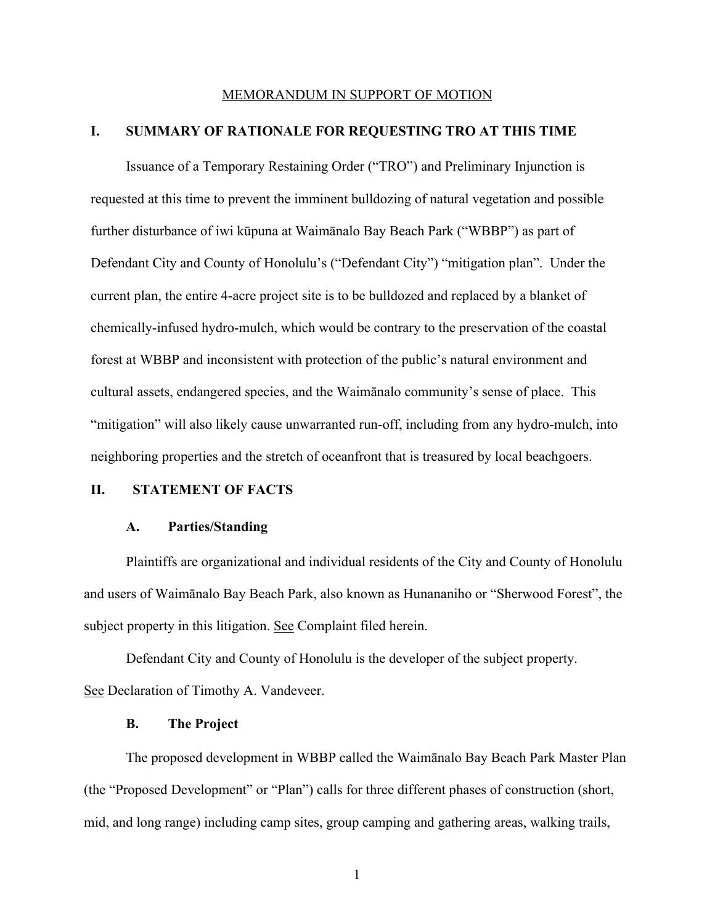### MEMORANDUM IN SUPPORT OF MOTION

## **I. SUMMARY OF RATIONALE FOR REQUESTING TRO AT THIS TIME**

Issuance of a Temporary Restaining Order ("TRO") and Preliminary Injunction is requested at this time to prevent the imminent bulldozing of natural vegetation and possible further disturbance of iwi kūpuna at Waimānalo Bay Beach Park ("WBBP") as part of Defendant City and County of Honolulu's ("Defendant City") "mitigation plan". Under the current plan, the entire 4-acre project site is to be bulldozed and replaced by a blanket of chemically-infused hydro-mulch, which would be contrary to the preservation of the coastal forest at WBBP and inconsistent with protection of the public's natural environment and cultural assets, endangered species, and the Waimānalo community's sense of place. This "mitigation" will also likely cause unwarranted run-off, including from any hydro-mulch, into neighboring properties and the stretch of oceanfront that is treasured by local beachgoers.

# **II. STATEMENT OF FACTS**

### **A. Parties/Standing**

Plaintiffs are organizational and individual residents of the City and County of Honolulu and users of Waimānalo Bay Beach Park, also known as Hunananiho or "Sherwood Forest", the subject property in this litigation. See Complaint filed herein.

Defendant City and County of Honolulu is the developer of the subject property. See Declaration of Timothy A. Vandeveer.

#### **B. The Project**

The proposed development in WBBP called the Waimānalo Bay Beach Park Master Plan (the "Proposed Development" or "Plan") calls for three different phases of construction (short, mid, and long range) including camp sites, group camping and gathering areas, walking trails,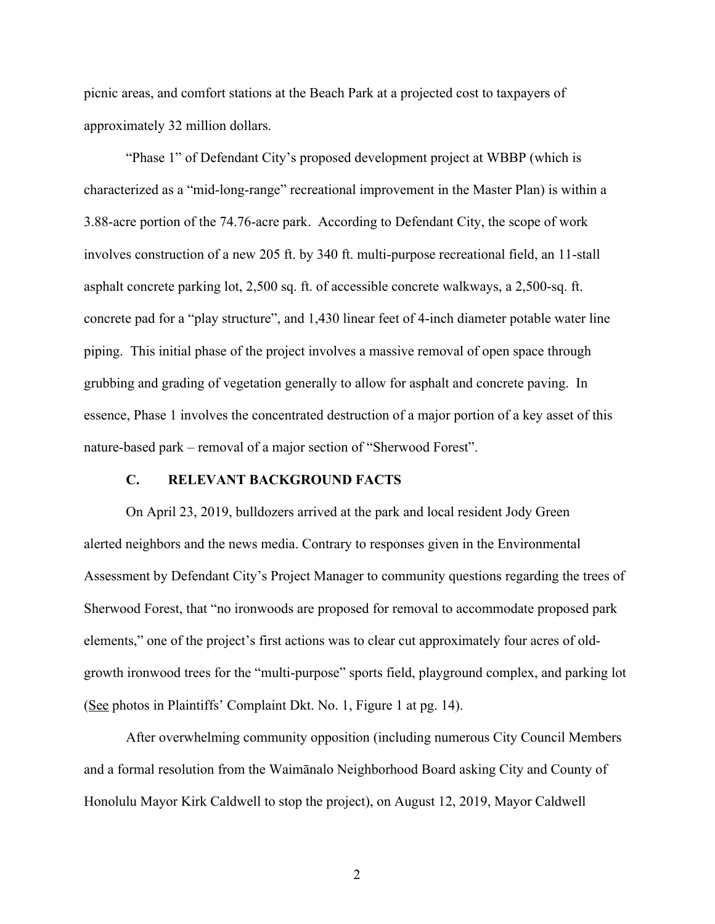picnic areas, and comfort stations at the Beach Park at a projected cost to taxpayers of approximately 32 million dollars.

"Phase 1" of Defendant City's proposed development project at WBBP (which is characterized as a "mid-long-range" recreational improvement in the Master Plan) is within a 3.88-acre portion of the 74.76-acre park. According to Defendant City, the scope of work involves construction of a new 205 ft. by 340 ft. multi-purpose recreational field, an 11-stall asphalt concrete parking lot, 2,500 sq. ft. of accessible concrete walkways, a 2,500-sq. ft. concrete pad for a "play structure", and 1,430 linear feet of 4-inch diameter potable water line piping. This initial phase of the project involves a massive removal of open space through grubbing and grading of vegetation generally to allow for asphalt and concrete paving. In essence, Phase 1 involves the concentrated destruction of a major portion of a key asset of this nature-based park – removal of a major section of "Sherwood Forest".

### **C. RELEVANT BACKGROUND FACTS**

On April 23, 2019, bulldozers arrived at the park and local resident Jody Green alerted neighbors and the news media. Contrary to responses given in the Environmental Assessment by Defendant City's Project Manager to community questions regarding the trees of Sherwood Forest, that "no ironwoods are proposed for removal to accommodate proposed park elements," one of the project's first actions was to clear cut approximately four acres of oldgrowth ironwood trees for the "multi-purpose" sports field, playground complex, and parking lot (See photos in Plaintiffs' Complaint Dkt. No. 1, Figure 1 at pg. 14).

After overwhelming community opposition (including numerous City Council Members and a formal resolution from the Waimānalo Neighborhood Board asking City and County of Honolulu Mayor Kirk Caldwell to stop the project), on August 12, 2019, Mayor Caldwell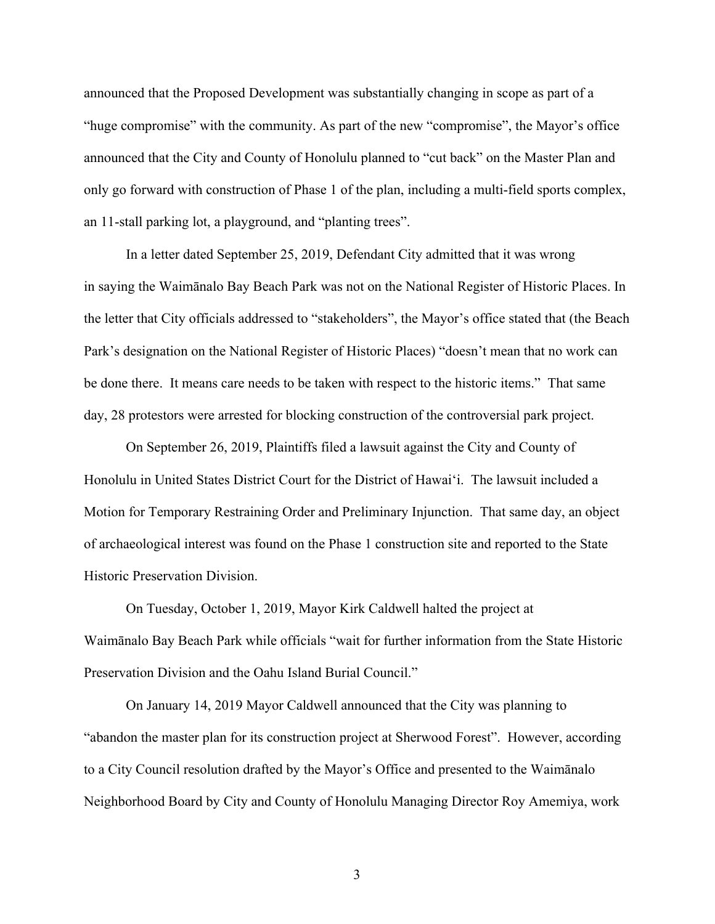announced that the Proposed Development was substantially changing in scope as part of a "huge compromise" with the community. As part of the new "compromise", the Mayor's office announced that the City and County of Honolulu planned to "cut back" on the Master Plan and only go forward with construction of Phase 1 of the plan, including a multi-field sports complex, an 11-stall parking lot, a playground, and "planting trees".

In a letter dated September 25, 2019, Defendant City admitted that it was wrong in saying the Waimānalo Bay Beach Park was not on the National Register of Historic Places. In the letter that City officials addressed to "stakeholders", the Mayor's office stated that (the Beach Park's designation on the National Register of Historic Places) "doesn't mean that no work can be done there. It means care needs to be taken with respect to the historic items." That same day, 28 protestors were arrested for blocking construction of the controversial park project.

On September 26, 2019, Plaintiffs filed a lawsuit against the City and County of Honolulu in United States District Court for the District of Hawai'i. The lawsuit included a Motion for Temporary Restraining Order and Preliminary Injunction. That same day, an object of archaeological interest was found on the Phase 1 construction site and reported to the State Historic Preservation Division.

On Tuesday, October 1, 2019, Mayor Kirk Caldwell halted the project at Waimānalo Bay Beach Park while officials "wait for further information from the State Historic Preservation Division and the Oahu Island Burial Council."

On January 14, 2019 Mayor Caldwell announced that the City was planning to "abandon the master plan for its construction project at Sherwood Forest". However, according to a City Council resolution drafted by the Mayor's Office and presented to the Waimānalo Neighborhood Board by City and County of Honolulu Managing Director Roy Amemiya, work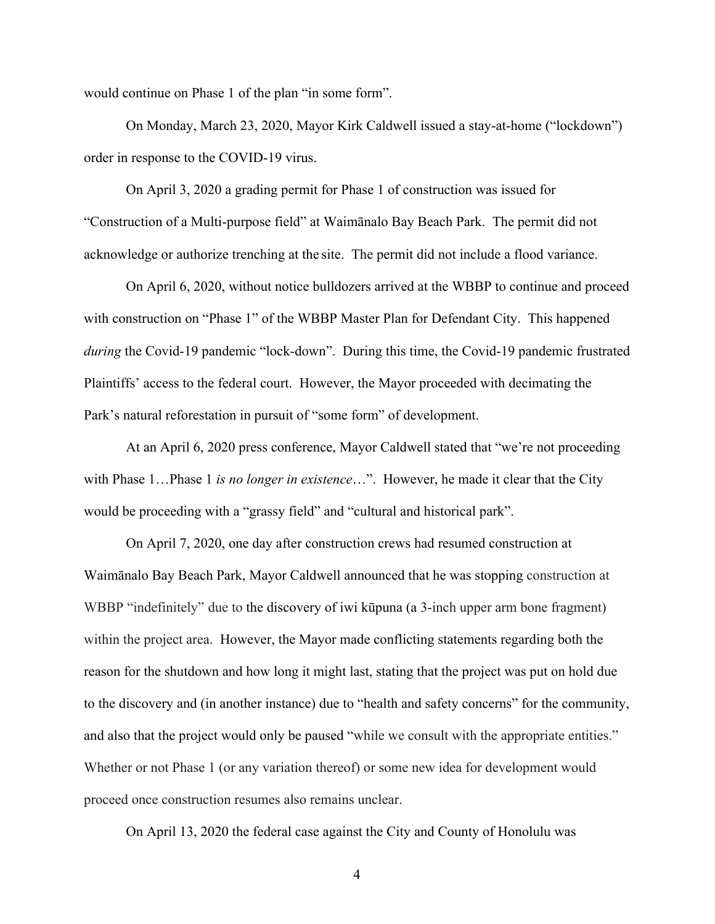would continue on Phase 1 of the plan "in some form".

On Monday, March 23, 2020, Mayor Kirk Caldwell issued a stay-at-home ("lockdown") order in response to the COVID-19 virus.

On April 3, 2020 a grading permit for Phase 1 of construction was issued for "Construction of a Multi-purpose field" at Waimānalo Bay Beach Park. The permit did not acknowledge or authorize trenching at the site. The permit did not include a flood variance.

On April 6, 2020, without notice bulldozers arrived at the WBBP to continue and proceed with construction on "Phase 1" of the WBBP Master Plan for Defendant City. This happened *during* the Covid-19 pandemic "lock-down". During this time, the Covid-19 pandemic frustrated Plaintiffs' access to the federal court. However, the Mayor proceeded with decimating the Park's natural reforestation in pursuit of "some form" of development.

At an April 6, 2020 press conference, Mayor Caldwell stated that "we're not proceeding with Phase 1…Phase 1 *is no longer in existence*…". However, he made it clear that the City would be proceeding with a "grassy field" and "cultural and historical park".

On April 7, 2020, one day after construction crews had resumed construction at Waimānalo Bay Beach Park, Mayor Caldwell announced that he was stopping construction at WBBP "indefinitely" due to the discovery of iwi kūpuna (a 3-inch upper arm bone fragment) within the project area. However, the Mayor made conflicting statements regarding both the reason for the shutdown and how long it might last, stating that the project was put on hold due to the discovery and (in another instance) due to "health and safety concerns" for the community, and also that the project would only be paused "while we consult with the appropriate entities." Whether or not Phase 1 (or any variation thereof) or some new idea for development would proceed once construction resumes also remains unclear.

On April 13, 2020 the federal case against the City and County of Honolulu was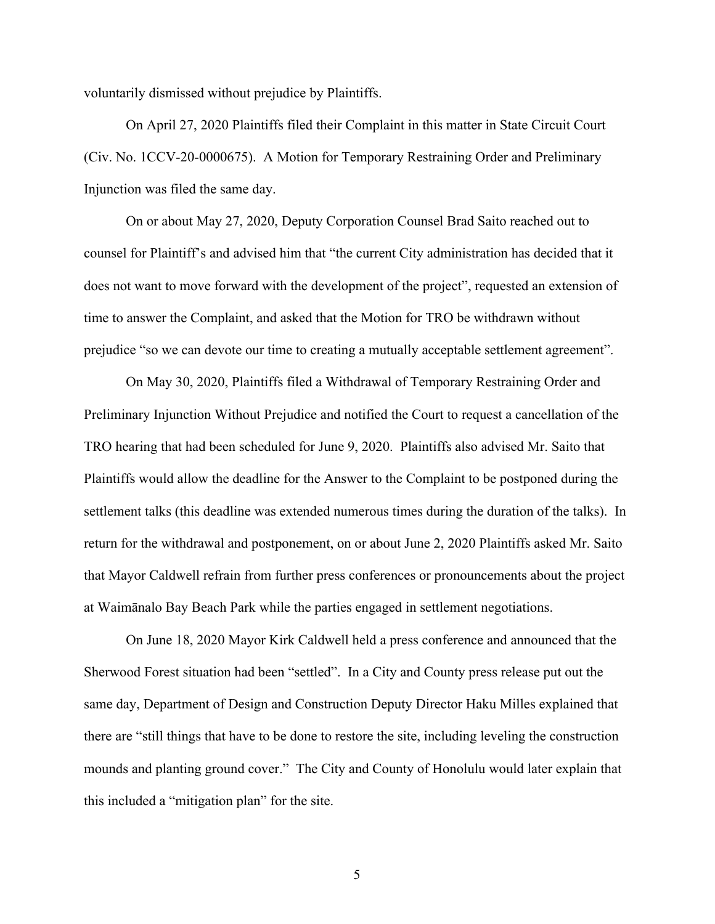voluntarily dismissed without prejudice by Plaintiffs.

On April 27, 2020 Plaintiffs filed their Complaint in this matter in State Circuit Court (Civ. No. 1CCV-20-0000675). A Motion for Temporary Restraining Order and Preliminary Injunction was filed the same day.

 On or about May 27, 2020, Deputy Corporation Counsel Brad Saito reached out to counsel for Plaintiff's and advised him that "the current City administration has decided that it does not want to move forward with the development of the project", requested an extension of time to answer the Complaint, and asked that the Motion for TRO be withdrawn without prejudice "so we can devote our time to creating a mutually acceptable settlement agreement".

On May 30, 2020, Plaintiffs filed a Withdrawal of Temporary Restraining Order and Preliminary Injunction Without Prejudice and notified the Court to request a cancellation of the TRO hearing that had been scheduled for June 9, 2020. Plaintiffs also advised Mr. Saito that Plaintiffs would allow the deadline for the Answer to the Complaint to be postponed during the settlement talks (this deadline was extended numerous times during the duration of the talks). In return for the withdrawal and postponement, on or about June 2, 2020 Plaintiffs asked Mr. Saito that Mayor Caldwell refrain from further press conferences or pronouncements about the project at Waimānalo Bay Beach Park while the parties engaged in settlement negotiations.

On June 18, 2020 Mayor Kirk Caldwell held a press conference and announced that the Sherwood Forest situation had been "settled". In a City and County press release put out the same day, Department of Design and Construction Deputy Director Haku Milles explained that there are "still things that have to be done to restore the site, including leveling the construction mounds and planting ground cover." The City and County of Honolulu would later explain that this included a "mitigation plan" for the site.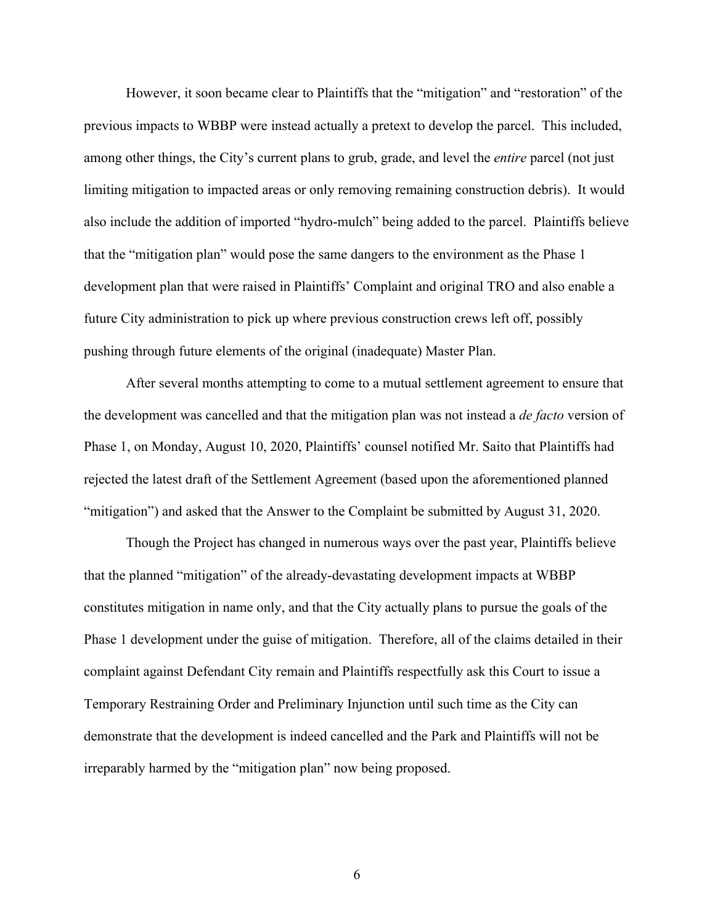However, it soon became clear to Plaintiffs that the "mitigation" and "restoration" of the previous impacts to WBBP were instead actually a pretext to develop the parcel. This included, among other things, the City's current plans to grub, grade, and level the *entire* parcel (not just limiting mitigation to impacted areas or only removing remaining construction debris). It would also include the addition of imported "hydro-mulch" being added to the parcel. Plaintiffs believe that the "mitigation plan" would pose the same dangers to the environment as the Phase 1 development plan that were raised in Plaintiffs' Complaint and original TRO and also enable a future City administration to pick up where previous construction crews left off, possibly pushing through future elements of the original (inadequate) Master Plan.

After several months attempting to come to a mutual settlement agreement to ensure that the development was cancelled and that the mitigation plan was not instead a *de facto* version of Phase 1, on Monday, August 10, 2020, Plaintiffs' counsel notified Mr. Saito that Plaintiffs had rejected the latest draft of the Settlement Agreement (based upon the aforementioned planned "mitigation") and asked that the Answer to the Complaint be submitted by August 31, 2020.

Though the Project has changed in numerous ways over the past year, Plaintiffs believe that the planned "mitigation" of the already-devastating development impacts at WBBP constitutes mitigation in name only, and that the City actually plans to pursue the goals of the Phase 1 development under the guise of mitigation. Therefore, all of the claims detailed in their complaint against Defendant City remain and Plaintiffs respectfully ask this Court to issue a Temporary Restraining Order and Preliminary Injunction until such time as the City can demonstrate that the development is indeed cancelled and the Park and Plaintiffs will not be irreparably harmed by the "mitigation plan" now being proposed.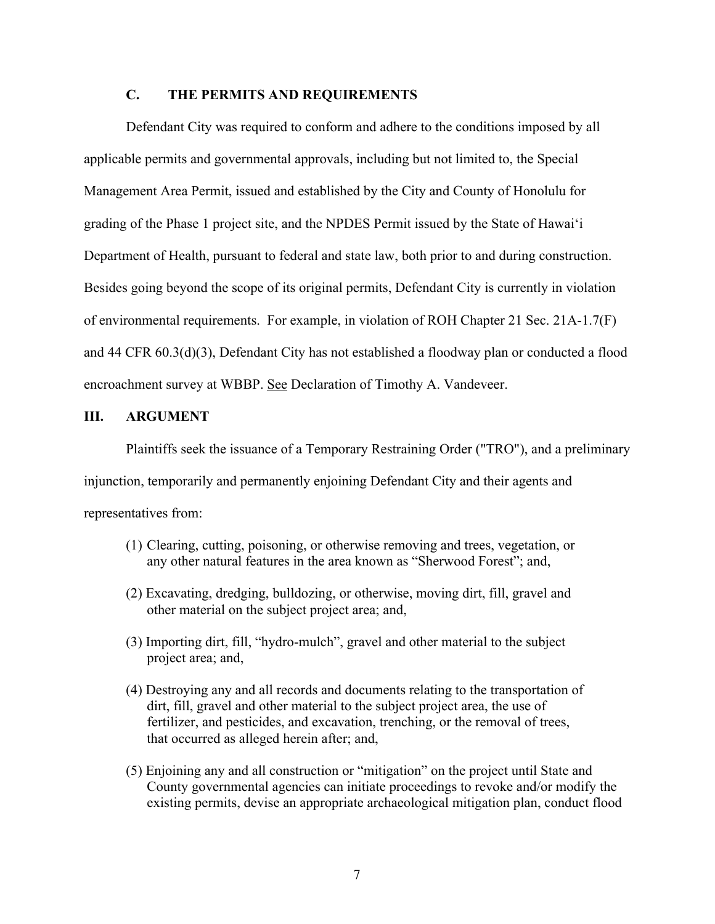#### **C. THE PERMITS AND REQUIREMENTS**

Defendant City was required to conform and adhere to the conditions imposed by all applicable permits and governmental approvals, including but not limited to, the Special Management Area Permit, issued and established by the City and County of Honolulu for grading of the Phase 1 project site, and the NPDES Permit issued by the State of Hawai'i Department of Health, pursuant to federal and state law, both prior to and during construction. Besides going beyond the scope of its original permits, Defendant City is currently in violation of environmental requirements. For example, in violation of ROH Chapter 21 Sec. 21A-1.7(F) and 44 CFR 60.3(d)(3), Defendant City has not established a floodway plan or conducted a flood encroachment survey at WBBP. See Declaration of Timothy A. Vandeveer.

#### **III. ARGUMENT**

Plaintiffs seek the issuance of a Temporary Restraining Order ("TRO"), and a preliminary injunction, temporarily and permanently enjoining Defendant City and their agents and representatives from:

- (1) Clearing, cutting, poisoning, or otherwise removing and trees, vegetation, or any other natural features in the area known as "Sherwood Forest"; and,
- (2) Excavating, dredging, bulldozing, or otherwise, moving dirt, fill, gravel and other material on the subject project area; and,
- (3) Importing dirt, fill, "hydro-mulch", gravel and other material to the subject project area; and,
- (4) Destroying any and all records and documents relating to the transportation of dirt, fill, gravel and other material to the subject project area, the use of fertilizer, and pesticides, and excavation, trenching, or the removal of trees, that occurred as alleged herein after; and,
- (5) Enjoining any and all construction or "mitigation" on the project until State and County governmental agencies can initiate proceedings to revoke and/or modify the existing permits, devise an appropriate archaeological mitigation plan, conduct flood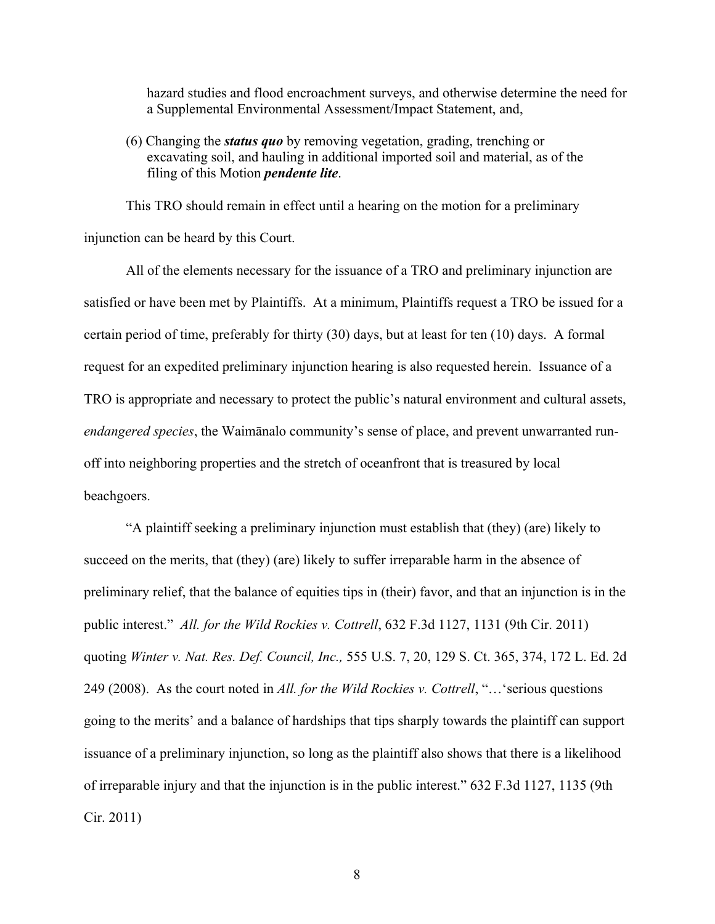hazard studies and flood encroachment surveys, and otherwise determine the need for a Supplemental Environmental Assessment/Impact Statement, and,

(6) Changing the *status quo* by removing vegetation, grading, trenching or excavating soil, and hauling in additional imported soil and material, as of the filing of this Motion *pendente lite*.

This TRO should remain in effect until a hearing on the motion for a preliminary injunction can be heard by this Court.

All of the elements necessary for the issuance of a TRO and preliminary injunction are satisfied or have been met by Plaintiffs. At a minimum, Plaintiffs request a TRO be issued for a certain period of time, preferably for thirty (30) days, but at least for ten (10) days. A formal request for an expedited preliminary injunction hearing is also requested herein. Issuance of a TRO is appropriate and necessary to protect the public's natural environment and cultural assets, *endangered species*, the Waimānalo community's sense of place, and prevent unwarranted runoff into neighboring properties and the stretch of oceanfront that is treasured by local beachgoers.

"A plaintiff seeking a preliminary injunction must establish that (they) (are) likely to succeed on the merits, that (they) (are) likely to suffer irreparable harm in the absence of preliminary relief, that the balance of equities tips in (their) favor, and that an injunction is in the public interest." *All. for the Wild Rockies v. Cottrell*, 632 F.3d 1127, 1131 (9th Cir. 2011) quoting *Winter v. Nat. Res. Def. Council, Inc.,* 555 U.S. 7, 20, 129 S. Ct. 365, 374, 172 L. Ed. 2d 249 (2008). As the court noted in *All. for the Wild Rockies v. Cottrell*, "…'serious questions going to the merits' and a balance of hardships that tips sharply towards the plaintiff can support issuance of a preliminary injunction, so long as the plaintiff also shows that there is a likelihood of irreparable injury and that the injunction is in the public interest." 632 F.3d 1127, 1135 (9th Cir. 2011)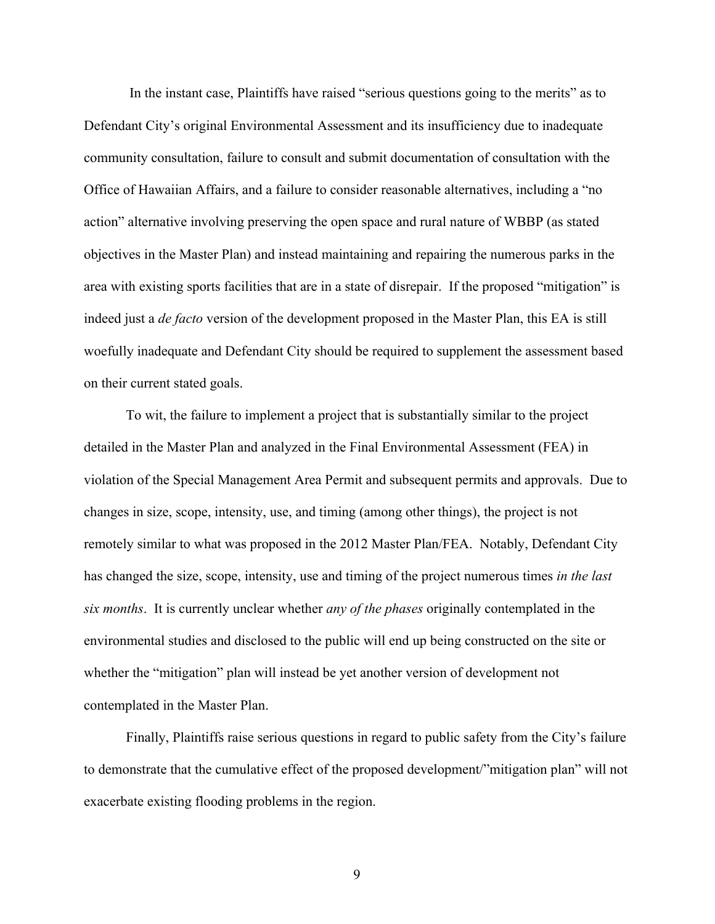In the instant case, Plaintiffs have raised "serious questions going to the merits" as to Defendant City's original Environmental Assessment and its insufficiency due to inadequate community consultation, failure to consult and submit documentation of consultation with the Office of Hawaiian Affairs, and a failure to consider reasonable alternatives, including a "no action" alternative involving preserving the open space and rural nature of WBBP (as stated objectives in the Master Plan) and instead maintaining and repairing the numerous parks in the area with existing sports facilities that are in a state of disrepair. If the proposed "mitigation" is indeed just a *de facto* version of the development proposed in the Master Plan, this EA is still woefully inadequate and Defendant City should be required to supplement the assessment based on their current stated goals.

To wit, the failure to implement a project that is substantially similar to the project detailed in the Master Plan and analyzed in the Final Environmental Assessment (FEA) in violation of the Special Management Area Permit and subsequent permits and approvals. Due to changes in size, scope, intensity, use, and timing (among other things), the project is not remotely similar to what was proposed in the 2012 Master Plan/FEA. Notably, Defendant City has changed the size, scope, intensity, use and timing of the project numerous times *in the last six months*. It is currently unclear whether *any of the phases* originally contemplated in the environmental studies and disclosed to the public will end up being constructed on the site or whether the "mitigation" plan will instead be yet another version of development not contemplated in the Master Plan.

Finally, Plaintiffs raise serious questions in regard to public safety from the City's failure to demonstrate that the cumulative effect of the proposed development/"mitigation plan" will not exacerbate existing flooding problems in the region.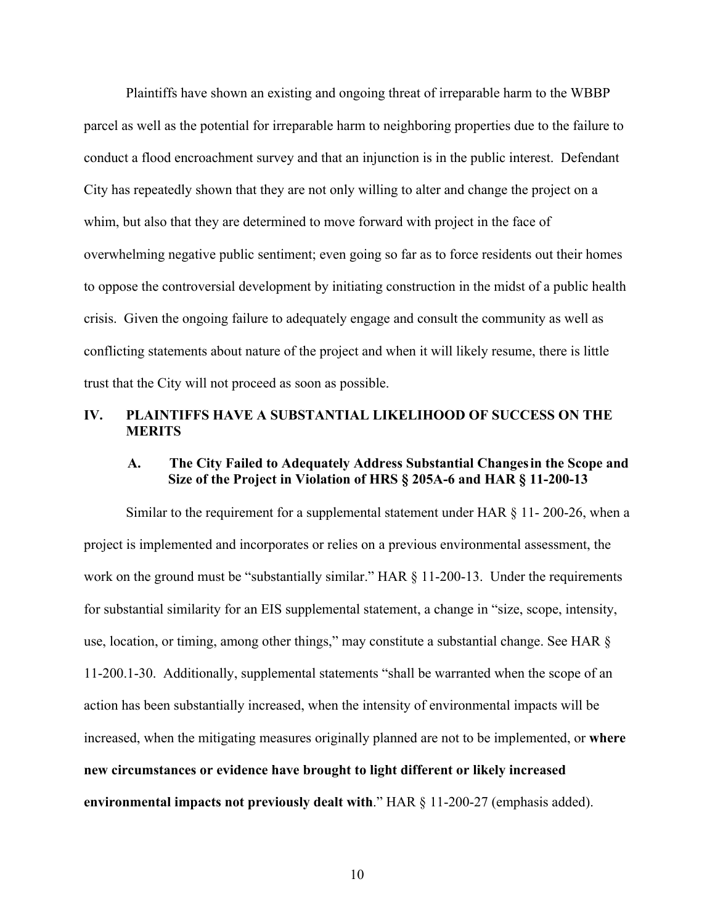Plaintiffs have shown an existing and ongoing threat of irreparable harm to the WBBP parcel as well as the potential for irreparable harm to neighboring properties due to the failure to conduct a flood encroachment survey and that an injunction is in the public interest. Defendant City has repeatedly shown that they are not only willing to alter and change the project on a whim, but also that they are determined to move forward with project in the face of overwhelming negative public sentiment; even going so far as to force residents out their homes to oppose the controversial development by initiating construction in the midst of a public health crisis. Given the ongoing failure to adequately engage and consult the community as well as conflicting statements about nature of the project and when it will likely resume, there is little trust that the City will not proceed as soon as possible.

# **IV. PLAINTIFFS HAVE A SUBSTANTIAL LIKELIHOOD OF SUCCESS ON THE MERITS**

## **A. The City Failed to Adequately Address Substantial Changesin the Scope and Size of the Project in Violation of HRS § 205A-6 and HAR § 11-200-13**

Similar to the requirement for a supplemental statement under HAR  $\S$  11-200-26, when a project is implemented and incorporates or relies on a previous environmental assessment, the work on the ground must be "substantially similar." HAR § 11-200-13. Under the requirements for substantial similarity for an EIS supplemental statement, a change in "size, scope, intensity, use, location, or timing, among other things," may constitute a substantial change. See HAR § 11-200.1-30. Additionally, supplemental statements "shall be warranted when the scope of an action has been substantially increased, when the intensity of environmental impacts will be increased, when the mitigating measures originally planned are not to be implemented, or **where new circumstances or evidence have brought to light different or likely increased environmental impacts not previously dealt with**." HAR § 11-200-27 (emphasis added).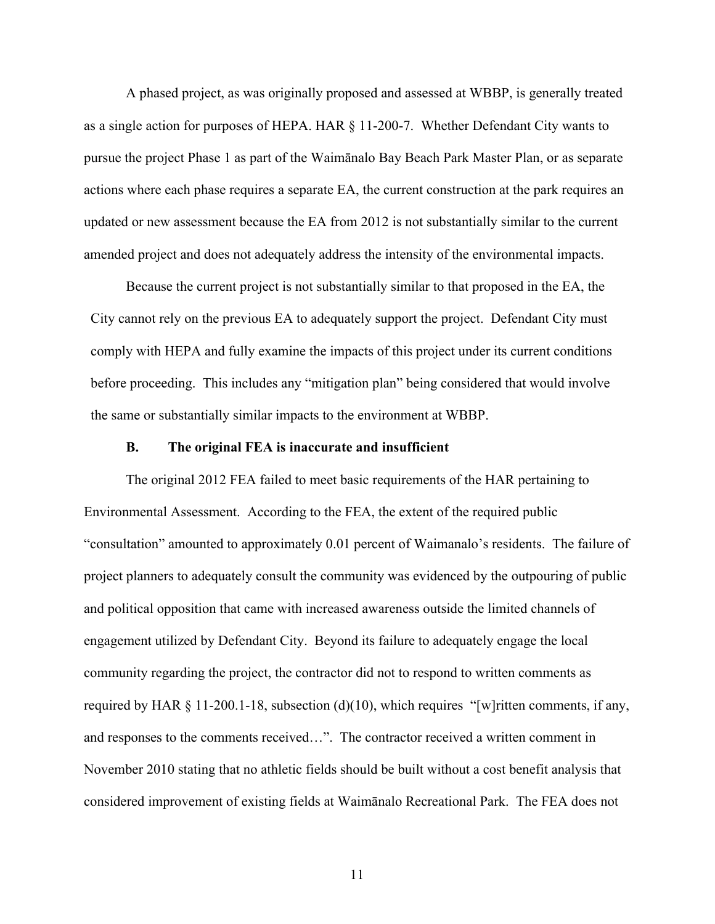A phased project, as was originally proposed and assessed at WBBP, is generally treated as a single action for purposes of HEPA. HAR § 11-200-7. Whether Defendant City wants to pursue the project Phase 1 as part of the Waimānalo Bay Beach Park Master Plan, or as separate actions where each phase requires a separate EA, the current construction at the park requires an updated or new assessment because the EA from 2012 is not substantially similar to the current amended project and does not adequately address the intensity of the environmental impacts.

Because the current project is not substantially similar to that proposed in the EA, the City cannot rely on the previous EA to adequately support the project. Defendant City must comply with HEPA and fully examine the impacts of this project under its current conditions before proceeding. This includes any "mitigation plan" being considered that would involve the same or substantially similar impacts to the environment at WBBP.

#### **B. The original FEA is inaccurate and insufficient**

The original 2012 FEA failed to meet basic requirements of the HAR pertaining to Environmental Assessment. According to the FEA, the extent of the required public "consultation" amounted to approximately 0.01 percent of Waimanalo's residents. The failure of project planners to adequately consult the community was evidenced by the outpouring of public and political opposition that came with increased awareness outside the limited channels of engagement utilized by Defendant City. Beyond its failure to adequately engage the local community regarding the project, the contractor did not to respond to written comments as required by HAR  $\S$  11-200.1-18, subsection (d)(10), which requires "[w] ritten comments, if any, and responses to the comments received…". The contractor received a written comment in November 2010 stating that no athletic fields should be built without a cost benefit analysis that considered improvement of existing fields at Waimānalo Recreational Park. The FEA does not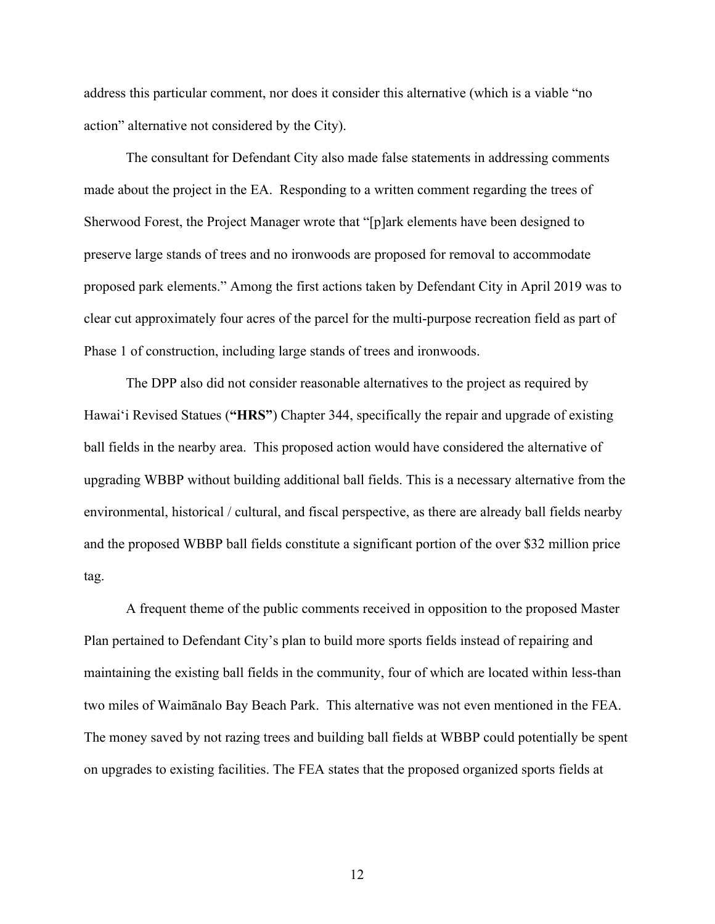address this particular comment, nor does it consider this alternative (which is a viable "no action" alternative not considered by the City).

The consultant for Defendant City also made false statements in addressing comments made about the project in the EA. Responding to a written comment regarding the trees of Sherwood Forest, the Project Manager wrote that "[p]ark elements have been designed to preserve large stands of trees and no ironwoods are proposed for removal to accommodate proposed park elements." Among the first actions taken by Defendant City in April 2019 was to clear cut approximately four acres of the parcel for the multi-purpose recreation field as part of Phase 1 of construction, including large stands of trees and ironwoods.

The DPP also did not consider reasonable alternatives to the project as required by Hawai'i Revised Statues (**"HRS"**) Chapter 344, specifically the repair and upgrade of existing ball fields in the nearby area. This proposed action would have considered the alternative of upgrading WBBP without building additional ball fields. This is a necessary alternative from the environmental, historical / cultural, and fiscal perspective, as there are already ball fields nearby and the proposed WBBP ball fields constitute a significant portion of the over \$32 million price tag.

A frequent theme of the public comments received in opposition to the proposed Master Plan pertained to Defendant City's plan to build more sports fields instead of repairing and maintaining the existing ball fields in the community, four of which are located within less-than two miles of Waimānalo Bay Beach Park. This alternative was not even mentioned in the FEA. The money saved by not razing trees and building ball fields at WBBP could potentially be spent on upgrades to existing facilities. The FEA states that the proposed organized sports fields at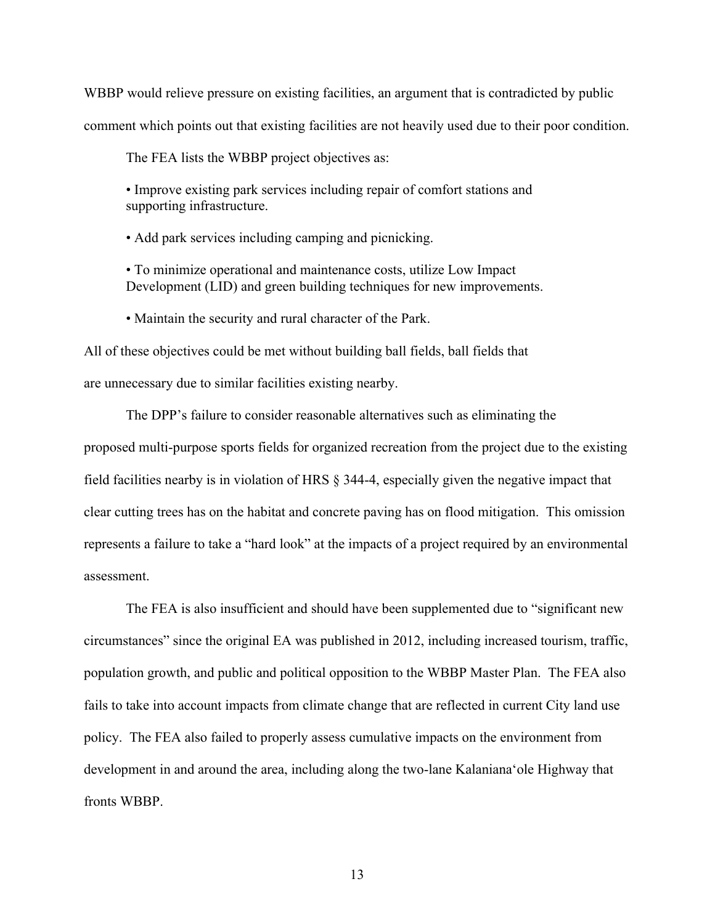WBBP would relieve pressure on existing facilities, an argument that is contradicted by public comment which points out that existing facilities are not heavily used due to their poor condition.

The FEA lists the WBBP project objectives as:

• Improve existing park services including repair of comfort stations and supporting infrastructure.

• Add park services including camping and picnicking.

• To minimize operational and maintenance costs, utilize Low Impact Development (LID) and green building techniques for new improvements.

• Maintain the security and rural character of the Park.

All of these objectives could be met without building ball fields, ball fields that are unnecessary due to similar facilities existing nearby.

The DPP's failure to consider reasonable alternatives such as eliminating the proposed multi-purpose sports fields for organized recreation from the project due to the existing field facilities nearby is in violation of HRS § 344-4, especially given the negative impact that clear cutting trees has on the habitat and concrete paving has on flood mitigation. This omission represents a failure to take a "hard look" at the impacts of a project required by an environmental assessment.

The FEA is also insufficient and should have been supplemented due to "significant new circumstances" since the original EA was published in 2012, including increased tourism, traffic, population growth, and public and political opposition to the WBBP Master Plan. The FEA also fails to take into account impacts from climate change that are reflected in current City land use policy. The FEA also failed to properly assess cumulative impacts on the environment from development in and around the area, including along the two-lane Kalaniana'ole Highway that fronts WBBP.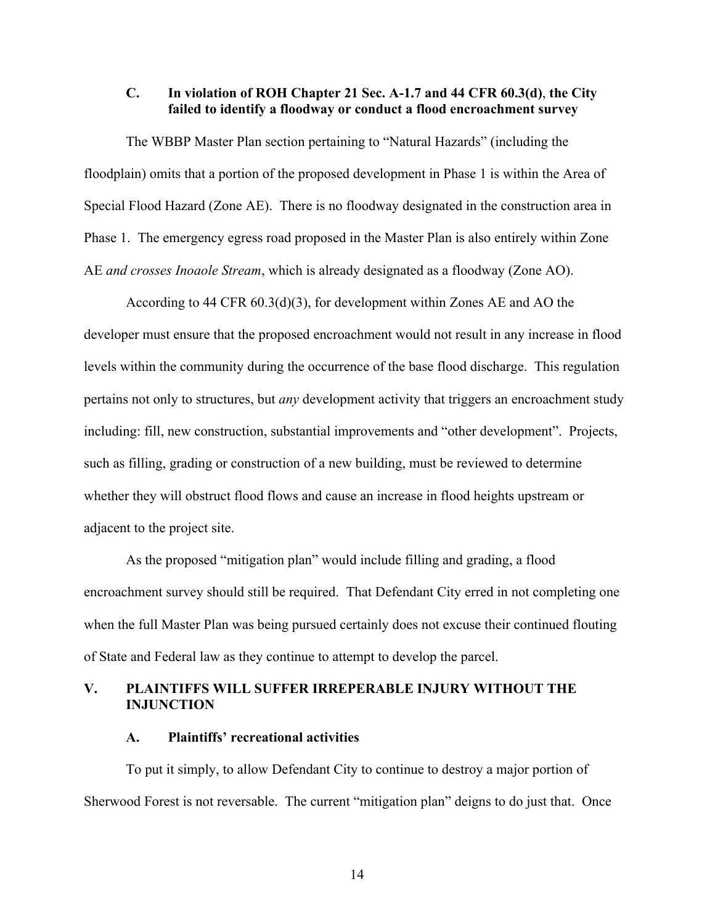# **C. In violation of ROH Chapter 21 Sec. A-1.7 and 44 CFR 60.3(d)**, **the City failed to identify a floodway or conduct a flood encroachment survey**

The WBBP Master Plan section pertaining to "Natural Hazards" (including the floodplain) omits that a portion of the proposed development in Phase 1 is within the Area of Special Flood Hazard (Zone AE). There is no floodway designated in the construction area in Phase 1. The emergency egress road proposed in the Master Plan is also entirely within Zone AE *and crosses Inoaole Stream*, which is already designated as a floodway (Zone AO).

According to 44 CFR  $60.3(d)(3)$ , for development within Zones AE and AO the developer must ensure that the proposed encroachment would not result in any increase in flood levels within the community during the occurrence of the base flood discharge. This regulation pertains not only to structures, but *any* development activity that triggers an encroachment study including: fill, new construction, substantial improvements and "other development". Projects, such as filling, grading or construction of a new building, must be reviewed to determine whether they will obstruct flood flows and cause an increase in flood heights upstream or adjacent to the project site.

As the proposed "mitigation plan" would include filling and grading, a flood encroachment survey should still be required. That Defendant City erred in not completing one when the full Master Plan was being pursued certainly does not excuse their continued flouting of State and Federal law as they continue to attempt to develop the parcel.

# **V. PLAINTIFFS WILL SUFFER IRREPERABLE INJURY WITHOUT THE INJUNCTION**

#### **A. Plaintiffs' recreational activities**

To put it simply, to allow Defendant City to continue to destroy a major portion of Sherwood Forest is not reversable. The current "mitigation plan" deigns to do just that. Once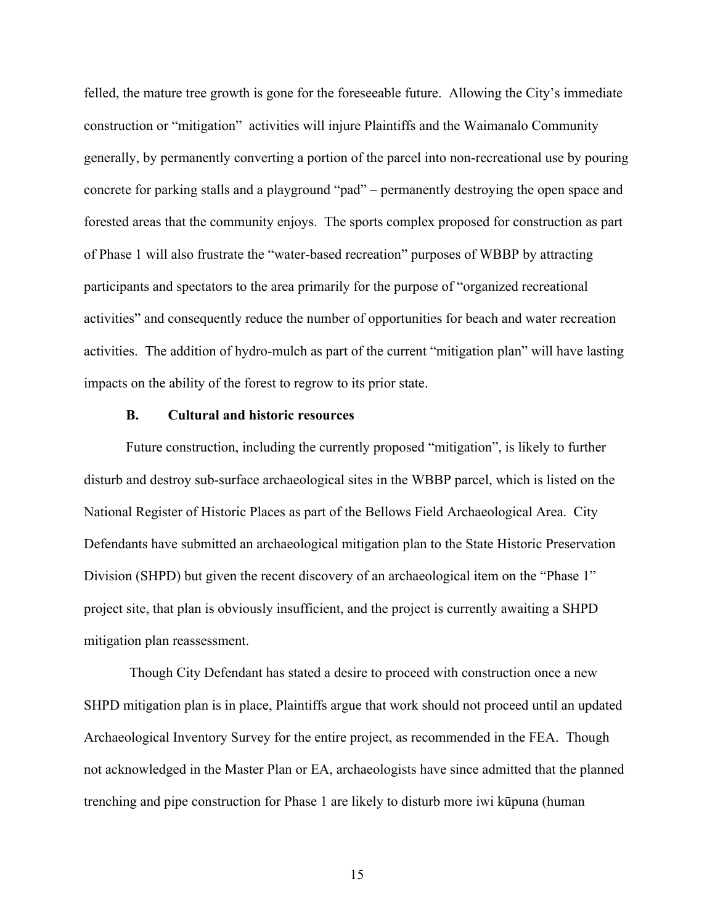felled, the mature tree growth is gone for the foreseeable future. Allowing the City's immediate construction or "mitigation" activities will injure Plaintiffs and the Waimanalo Community generally, by permanently converting a portion of the parcel into non-recreational use by pouring concrete for parking stalls and a playground "pad" – permanently destroying the open space and forested areas that the community enjoys. The sports complex proposed for construction as part of Phase 1 will also frustrate the "water-based recreation" purposes of WBBP by attracting participants and spectators to the area primarily for the purpose of "organized recreational activities" and consequently reduce the number of opportunities for beach and water recreation activities. The addition of hydro-mulch as part of the current "mitigation plan" will have lasting impacts on the ability of the forest to regrow to its prior state.

#### **B. Cultural and historic resources**

Future construction, including the currently proposed "mitigation", is likely to further disturb and destroy sub-surface archaeological sites in the WBBP parcel, which is listed on the National Register of Historic Places as part of the Bellows Field Archaeological Area. City Defendants have submitted an archaeological mitigation plan to the State Historic Preservation Division (SHPD) but given the recent discovery of an archaeological item on the "Phase 1" project site, that plan is obviously insufficient, and the project is currently awaiting a SHPD mitigation plan reassessment.

Though City Defendant has stated a desire to proceed with construction once a new SHPD mitigation plan is in place, Plaintiffs argue that work should not proceed until an updated Archaeological Inventory Survey for the entire project, as recommended in the FEA. Though not acknowledged in the Master Plan or EA, archaeologists have since admitted that the planned trenching and pipe construction for Phase 1 are likely to disturb more iwi kūpuna (human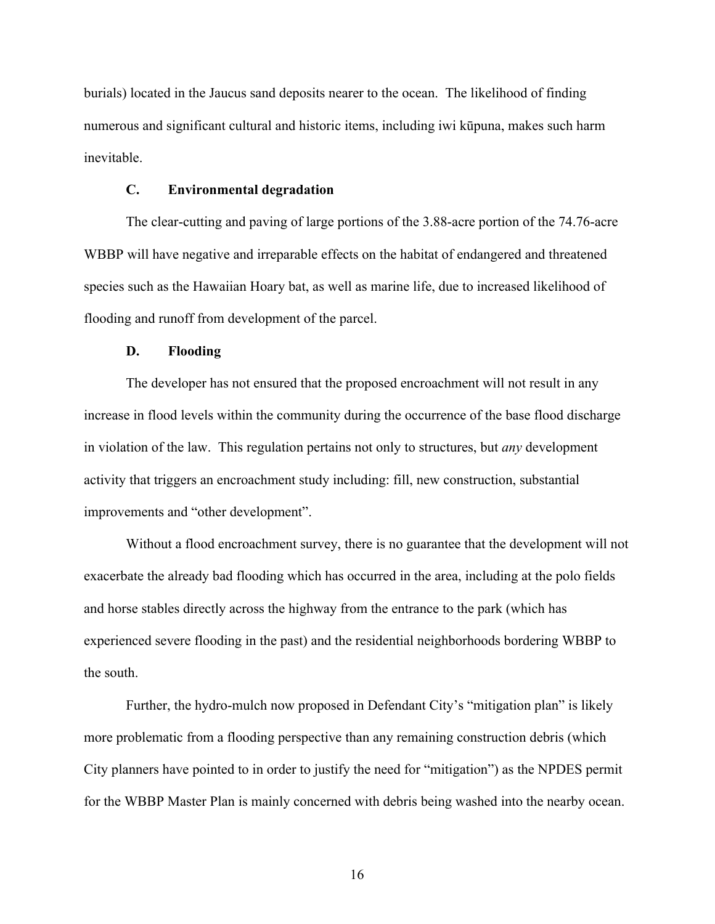burials) located in the Jaucus sand deposits nearer to the ocean. The likelihood of finding numerous and significant cultural and historic items, including iwi kūpuna, makes such harm inevitable.

### **C. Environmental degradation**

The clear-cutting and paving of large portions of the 3.88-acre portion of the 74.76-acre WBBP will have negative and irreparable effects on the habitat of endangered and threatened species such as the Hawaiian Hoary bat, as well as marine life, due to increased likelihood of flooding and runoff from development of the parcel.

#### **D. Flooding**

The developer has not ensured that the proposed encroachment will not result in any increase in flood levels within the community during the occurrence of the base flood discharge in violation of the law. This regulation pertains not only to structures, but *any* development activity that triggers an encroachment study including: fill, new construction, substantial improvements and "other development".

Without a flood encroachment survey, there is no guarantee that the development will not exacerbate the already bad flooding which has occurred in the area, including at the polo fields and horse stables directly across the highway from the entrance to the park (which has experienced severe flooding in the past) and the residential neighborhoods bordering WBBP to the south.

Further, the hydro-mulch now proposed in Defendant City's "mitigation plan" is likely more problematic from a flooding perspective than any remaining construction debris (which City planners have pointed to in order to justify the need for "mitigation") as the NPDES permit for the WBBP Master Plan is mainly concerned with debris being washed into the nearby ocean.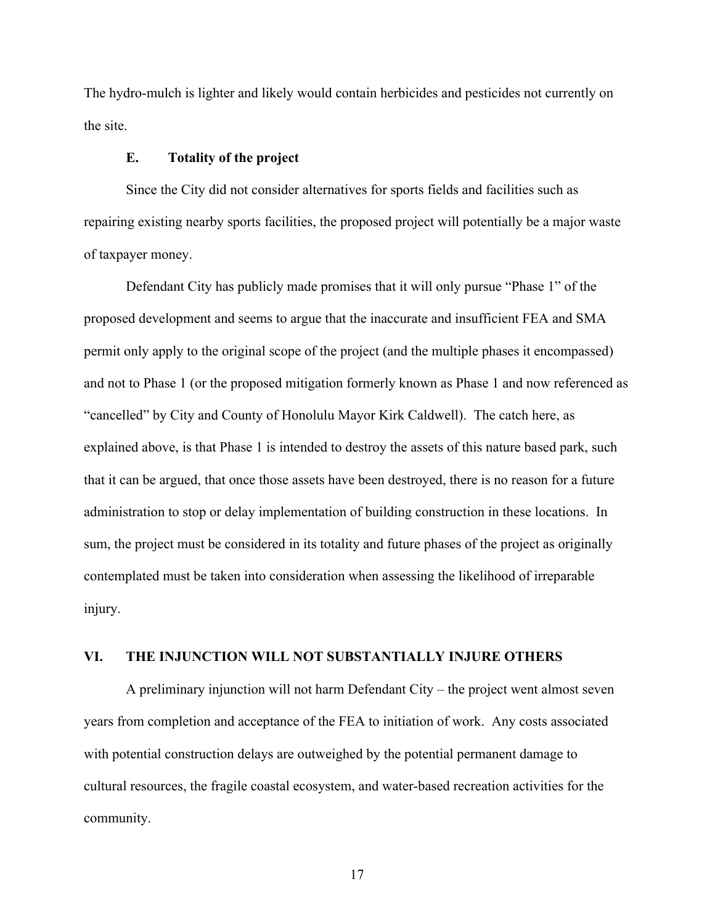The hydro-mulch is lighter and likely would contain herbicides and pesticides not currently on the site.

#### **E. Totality of the project**

Since the City did not consider alternatives for sports fields and facilities such as repairing existing nearby sports facilities, the proposed project will potentially be a major waste of taxpayer money.

Defendant City has publicly made promises that it will only pursue "Phase 1" of the proposed development and seems to argue that the inaccurate and insufficient FEA and SMA permit only apply to the original scope of the project (and the multiple phases it encompassed) and not to Phase 1 (or the proposed mitigation formerly known as Phase 1 and now referenced as "cancelled" by City and County of Honolulu Mayor Kirk Caldwell). The catch here, as explained above, is that Phase 1 is intended to destroy the assets of this nature based park, such that it can be argued, that once those assets have been destroyed, there is no reason for a future administration to stop or delay implementation of building construction in these locations. In sum, the project must be considered in its totality and future phases of the project as originally contemplated must be taken into consideration when assessing the likelihood of irreparable injury.

#### **VI. THE INJUNCTION WILL NOT SUBSTANTIALLY INJURE OTHERS**

A preliminary injunction will not harm Defendant City – the project went almost seven years from completion and acceptance of the FEA to initiation of work. Any costs associated with potential construction delays are outweighed by the potential permanent damage to cultural resources, the fragile coastal ecosystem, and water-based recreation activities for the community.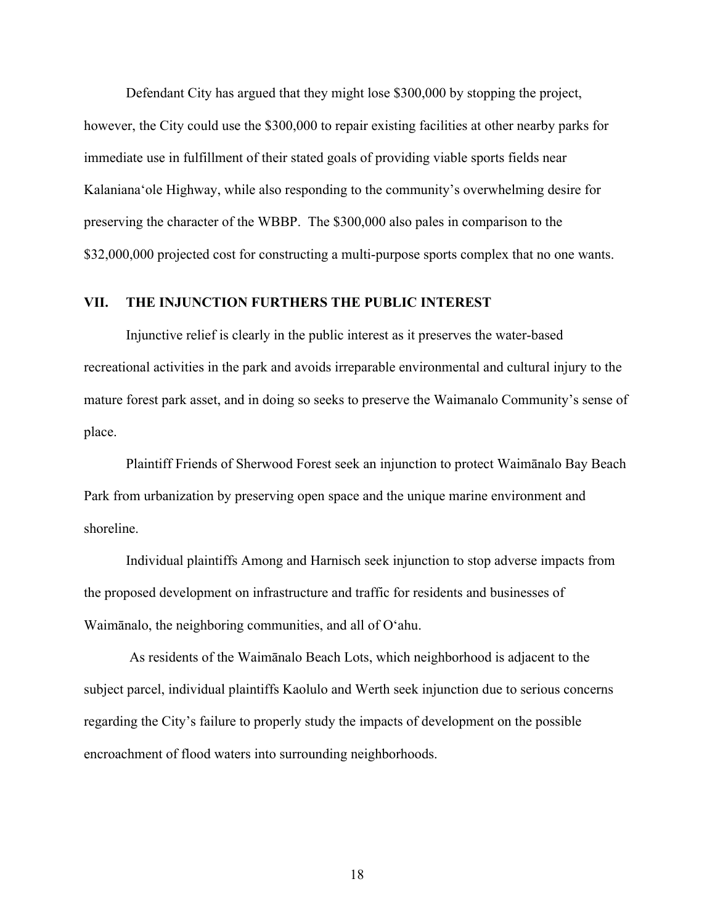Defendant City has argued that they might lose \$300,000 by stopping the project, however, the City could use the \$300,000 to repair existing facilities at other nearby parks for immediate use in fulfillment of their stated goals of providing viable sports fields near Kalaniana'ole Highway, while also responding to the community's overwhelming desire for preserving the character of the WBBP. The \$300,000 also pales in comparison to the \$32,000,000 projected cost for constructing a multi-purpose sports complex that no one wants.

## **VII. THE INJUNCTION FURTHERS THE PUBLIC INTEREST**

Injunctive relief is clearly in the public interest as it preserves the water-based recreational activities in the park and avoids irreparable environmental and cultural injury to the mature forest park asset, and in doing so seeks to preserve the Waimanalo Community's sense of place.

Plaintiff Friends of Sherwood Forest seek an injunction to protect Waimānalo Bay Beach Park from urbanization by preserving open space and the unique marine environment and shoreline.

Individual plaintiffs Among and Harnisch seek injunction to stop adverse impacts from the proposed development on infrastructure and traffic for residents and businesses of Waimānalo, the neighboring communities, and all of O'ahu.

As residents of the Waimānalo Beach Lots, which neighborhood is adjacent to the subject parcel, individual plaintiffs Kaolulo and Werth seek injunction due to serious concerns regarding the City's failure to properly study the impacts of development on the possible encroachment of flood waters into surrounding neighborhoods.